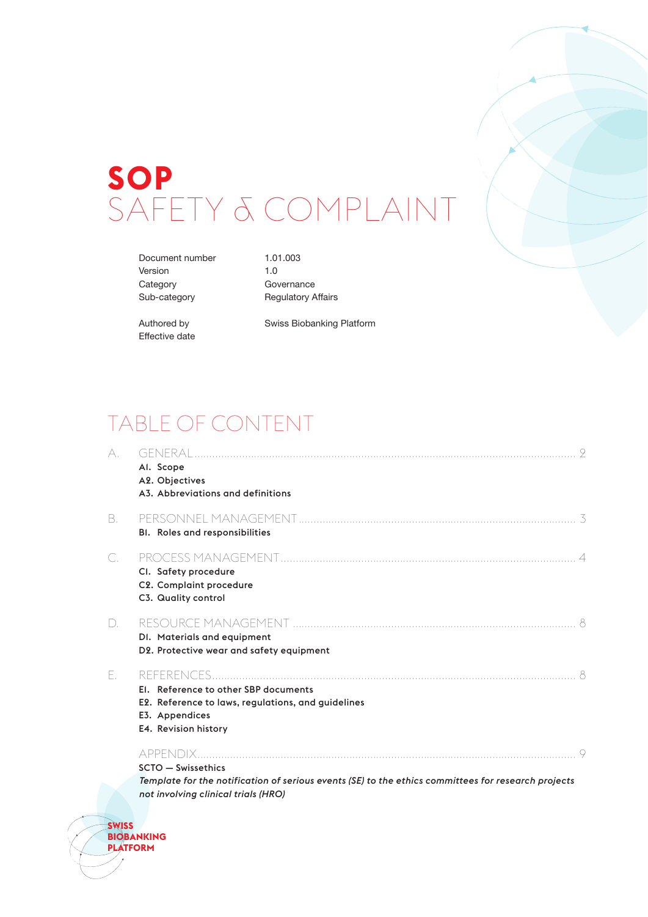# **SOP** SAFETY & COMPLAINT

Document number 1.01.003 Version 1.0 Category **Governance** 

Sub-category Regulatory Affairs

Effective date

Authored by Swiss Biobanking Platform

## TABLE OF CONTENT

| A. | Al. Scope<br>A2. Objectives<br>A3. Abbreviations and definitions                                                                                                    |  |
|----|---------------------------------------------------------------------------------------------------------------------------------------------------------------------|--|
| В. | <b>BI.</b> Roles and responsibilities                                                                                                                               |  |
| С. | CI. Safety procedure<br>C2. Complaint procedure<br>C3. Quality control                                                                                              |  |
| D. | DI. Materials and equipment<br>D2. Protective wear and safety equipment                                                                                             |  |
| F. | El. Reference to other SBP documents<br>E2. Reference to laws, regulations, and guidelines<br>E3. Appendices<br>E4. Revision history                                |  |
|    | $SCTO - Swiss ethics$<br>Template for the notification of serious events (SE) to the ethics committees for research projects<br>not involving clinical trials (HRO) |  |

**SWISS BIOBANKING PLATFORM**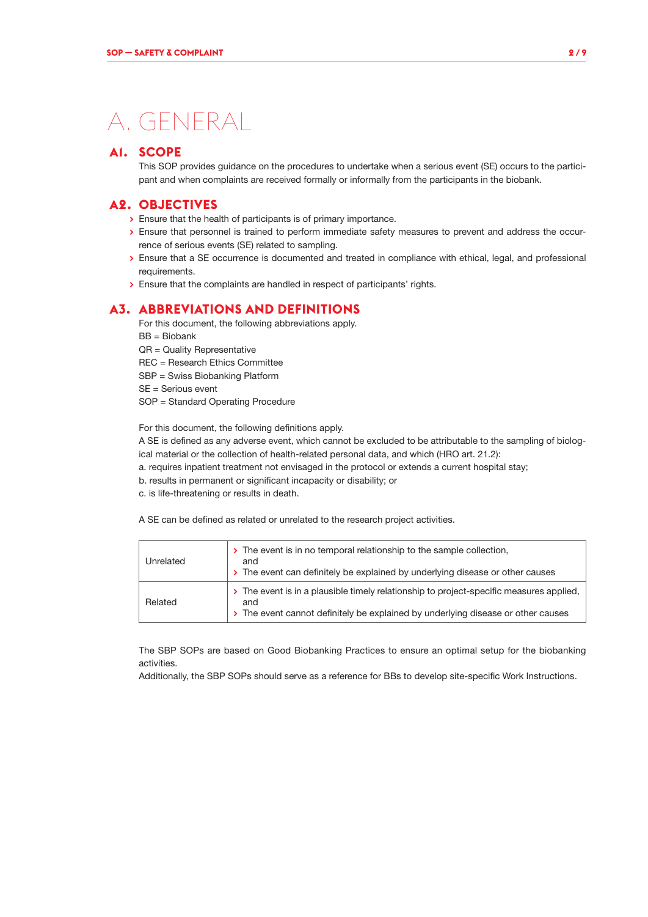## A. GENERAL

#### **A1. SCOPE**

This SOP provides guidance on the procedures to undertake when a serious event (SE) occurs to the participant and when complaints are received formally or informally from the participants in the biobank.

#### **A2. OBJECTIVES**

- **>** Ensure that the health of participants is of primary importance.
- **>** Ensure that personnel is trained to perform immediate safety measures to prevent and address the occurrence of serious events (SE) related to sampling.
- **>** Ensure that a SE occurrence is documented and treated in compliance with ethical, legal, and professional requirements.
- **>** Ensure that the complaints are handled in respect of participants' rights.

### **A3. ABBREVIATIONS AND DEFINITIONS**

For this document, the following abbreviations apply. BB = Biobank

QR = Quality Representative

REC = Research Ethics Committee

- SBP = Swiss Biobanking Platform
- SE = Serious event
- SOP = Standard Operating Procedure

For this document, the following definitions apply.

A SE is defined as any adverse event, which cannot be excluded to be attributable to the sampling of biological material or the collection of health-related personal data, and which (HRO art. 21.2):

- a. requires inpatient treatment not envisaged in the protocol or extends a current hospital stay;
- b. results in permanent or significant incapacity or disability; or
- c. is life-threatening or results in death.

A SE can be defined as related or unrelated to the research project activities.

| Unrelated | > The event is in no temporal relationship to the sample collection,<br>and<br>> The event can definitely be explained by underlying disease or other causes                       |
|-----------|------------------------------------------------------------------------------------------------------------------------------------------------------------------------------------|
| Related   | > The event is in a plausible timely relationship to project-specific measures applied,<br>and<br>> The event cannot definitely be explained by underlying disease or other causes |

The SBP SOPs are based on Good Biobanking Practices to ensure an optimal setup for the biobanking activities.

Additionally, the SBP SOPs should serve as a reference for BBs to develop site-specific Work Instructions.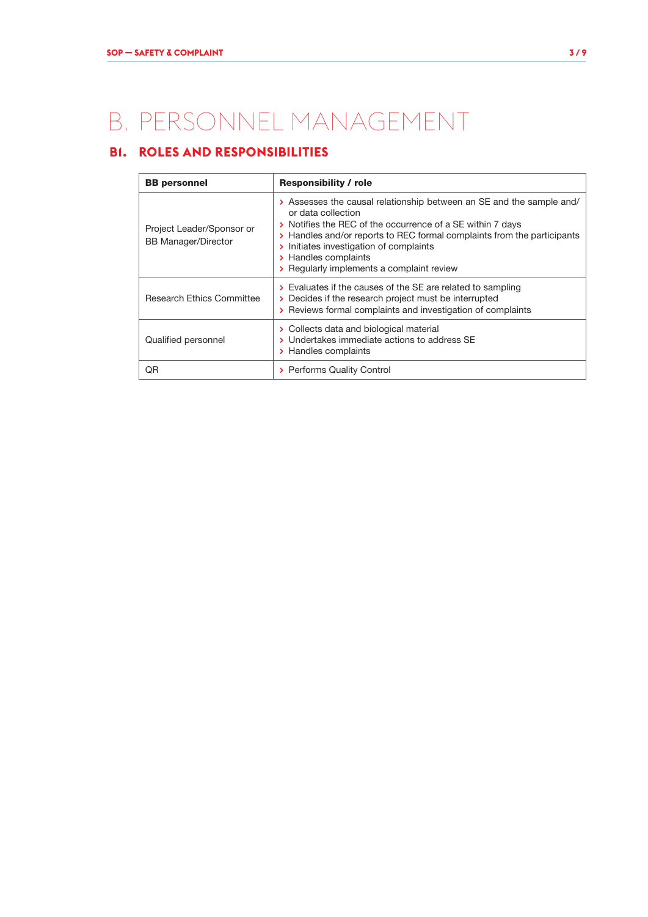## B. PERSONNEL MANAGEMENT

## **B1. ROLES AND RESPONSIBILITIES**

| <b>BB</b> personnel                                     | <b>Responsibility / role</b>                                                                                                                                                                                                                                                                                                                        |  |  |
|---------------------------------------------------------|-----------------------------------------------------------------------------------------------------------------------------------------------------------------------------------------------------------------------------------------------------------------------------------------------------------------------------------------------------|--|--|
| Project Leader/Sponsor or<br><b>BB Manager/Director</b> | > Assesses the causal relationship between an SE and the sample and/<br>or data collection<br>> Notifies the REC of the occurrence of a SE within 7 days<br>> Handles and/or reports to REC formal complaints from the participants<br>> Initiates investigation of complaints<br>> Handles complaints<br>> Regularly implements a complaint review |  |  |
| <b>Research Ethics Committee</b>                        | $\triangleright$ Evaluates if the causes of the SE are related to sampling<br>> Decides if the research project must be interrupted<br>> Reviews formal complaints and investigation of complaints                                                                                                                                                  |  |  |
| Qualified personnel                                     | > Collects data and biological material<br>> Undertakes immediate actions to address SE<br>> Handles complaints                                                                                                                                                                                                                                     |  |  |
| ΟR                                                      | > Performs Quality Control                                                                                                                                                                                                                                                                                                                          |  |  |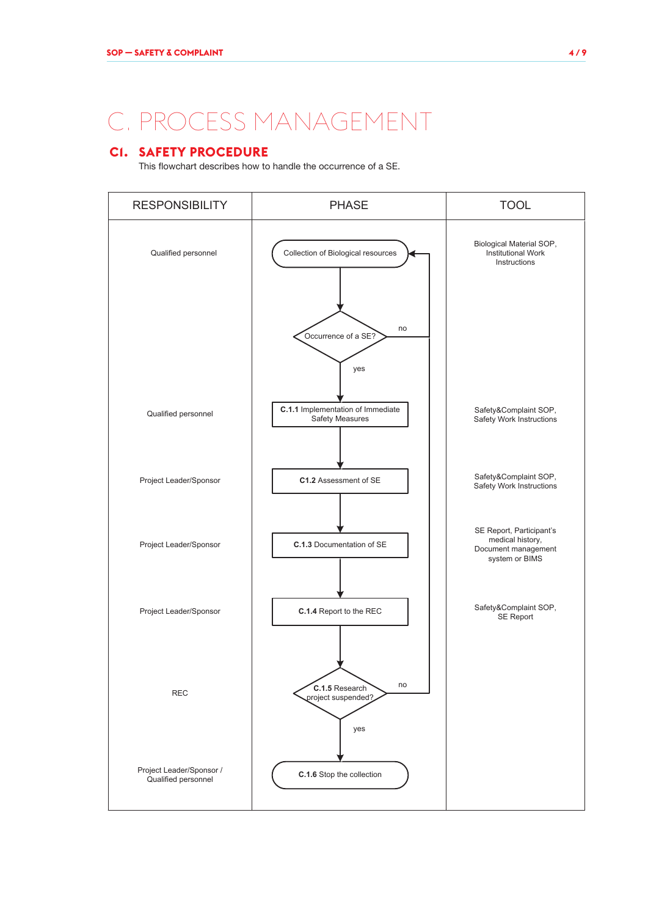## C. PROCESS MANAGEMENT

### **C1. SAFETY PROCEDURE**

This flowchart describes how to handle the occurrence of a SE.

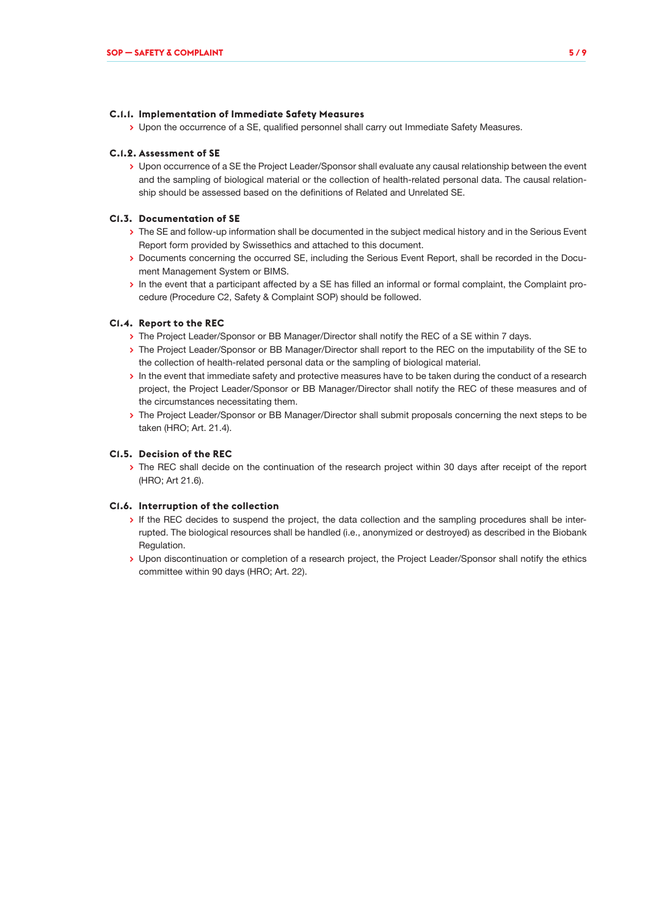#### **C.1.1. Implementation of Immediate Safety Measures**

**>** Upon the occurrence of a SE, qualified personnel shall carry out Immediate Safety Measures.

#### **C.1.2. Assessment of SE**

**>** Upon occurrence of a SE the Project Leader/Sponsor shall evaluate any causal relationship between the event and the sampling of biological material or the collection of health-related personal data. The causal relationship should be assessed based on the definitions of Related and Unrelated SE.

#### **C1.3. Documentation of SE**

- **>** The SE and follow-up information shall be documented in the subject medical history and in the Serious Event Report form provided by Swissethics and attached to this document.
- **>** Documents concerning the occurred SE, including the Serious Event Report, shall be recorded in the Document Management System or BIMS.
- **>** In the event that a participant affected by a SE has filled an informal or formal complaint, the Complaint procedure (Procedure C2, Safety & Complaint SOP) should be followed.

#### **C1.4. Report to the REC**

- **>** The Project Leader/Sponsor or BB Manager/Director shall notify the REC of a SE within 7 days.
- **>** The Project Leader/Sponsor or BB Manager/Director shall report to the REC on the imputability of the SE to the collection of health-related personal data or the sampling of biological material.
- **>** In the event that immediate safety and protective measures have to be taken during the conduct of a research project, the Project Leader/Sponsor or BB Manager/Director shall notify the REC of these measures and of the circumstances necessitating them.
- **>** The Project Leader/Sponsor or BB Manager/Director shall submit proposals concerning the next steps to be taken (HRO; Art. 21.4).

#### **C1.5. Decision of the REC**

**>** The REC shall decide on the continuation of the research project within 30 days after receipt of the report (HRO; Art 21.6).

#### **C1.6. Interruption of the collection**

- **>** If the REC decides to suspend the project, the data collection and the sampling procedures shall be interrupted. The biological resources shall be handled (i.e., anonymized or destroyed) as described in the Biobank Regulation.
- **>** Upon discontinuation or completion of a research project, the Project Leader/Sponsor shall notify the ethics committee within 90 days (HRO; Art. 22).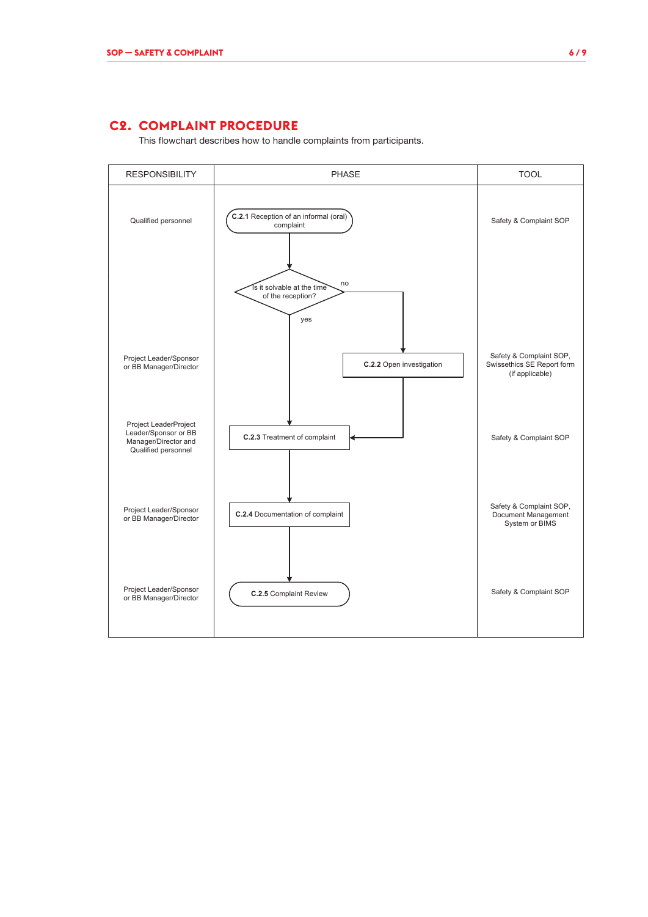### **C2. COMPLAINT PROCEDURE**

This flowchart describes how to handle complaints from participants.

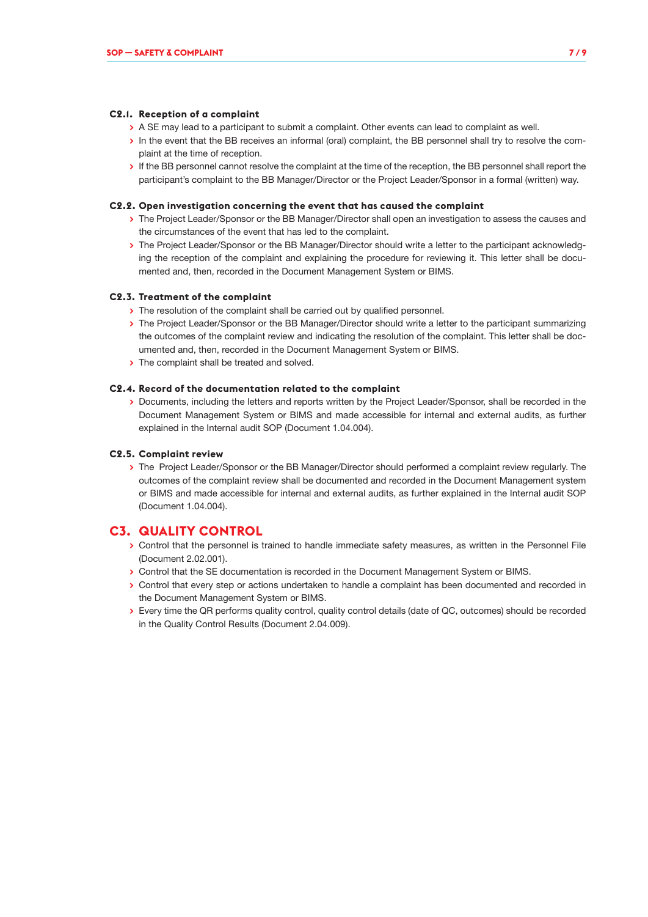#### **C2.1. Reception of a complaint**

- **>** A SE may lead to a participant to submit a complaint. Other events can lead to complaint as well.
- **>** In the event that the BB receives an informal (oral) complaint, the BB personnel shall try to resolve the complaint at the time of reception.
- **>** If the BB personnel cannot resolve the complaint at the time of the reception, the BB personnel shall report the participant's complaint to the BB Manager/Director or the Project Leader/Sponsor in a formal (written) way.

#### **C2.2. Open investigation concerning the event that has caused the complaint**

- **>** The Project Leader/Sponsor or the BB Manager/Director shall open an investigation to assess the causes and the circumstances of the event that has led to the complaint.
- **>** The Project Leader/Sponsor or the BB Manager/Director should write a letter to the participant acknowledging the reception of the complaint and explaining the procedure for reviewing it. This letter shall be documented and, then, recorded in the Document Management System or BIMS.

#### **C2.3. Treatment of the complaint**

- **>** The resolution of the complaint shall be carried out by qualified personnel.
- **>** The Project Leader/Sponsor or the BB Manager/Director should write a letter to the participant summarizing the outcomes of the complaint review and indicating the resolution of the complaint. This letter shall be documented and, then, recorded in the Document Management System or BIMS.
- **>** The complaint shall be treated and solved.

#### **C2.4. Record of the documentation related to the complaint**

**>** Documents, including the letters and reports written by the Project Leader/Sponsor, shall be recorded in the Document Management System or BIMS and made accessible for internal and external audits, as further explained in the Internal audit SOP (Document 1.04.004).

#### **C2.5. Complaint review**

**>** The Project Leader/Sponsor or the BB Manager/Director should performed a complaint review regularly. The outcomes of the complaint review shall be documented and recorded in the Document Management system or BIMS and made accessible for internal and external audits, as further explained in the Internal audit SOP (Document 1.04.004).

#### **C3. QUALITY CONTROL**

- **>** Control that the personnel is trained to handle immediate safety measures, as written in the Personnel File (Document 2.02.001).
- **>** Control that the SE documentation is recorded in the Document Management System or BIMS.
- **>** Control that every step or actions undertaken to handle a complaint has been documented and recorded in the Document Management System or BIMS.
- **>** Every time the QR performs quality control, quality control details (date of QC, outcomes) should be recorded in the Quality Control Results (Document 2.04.009).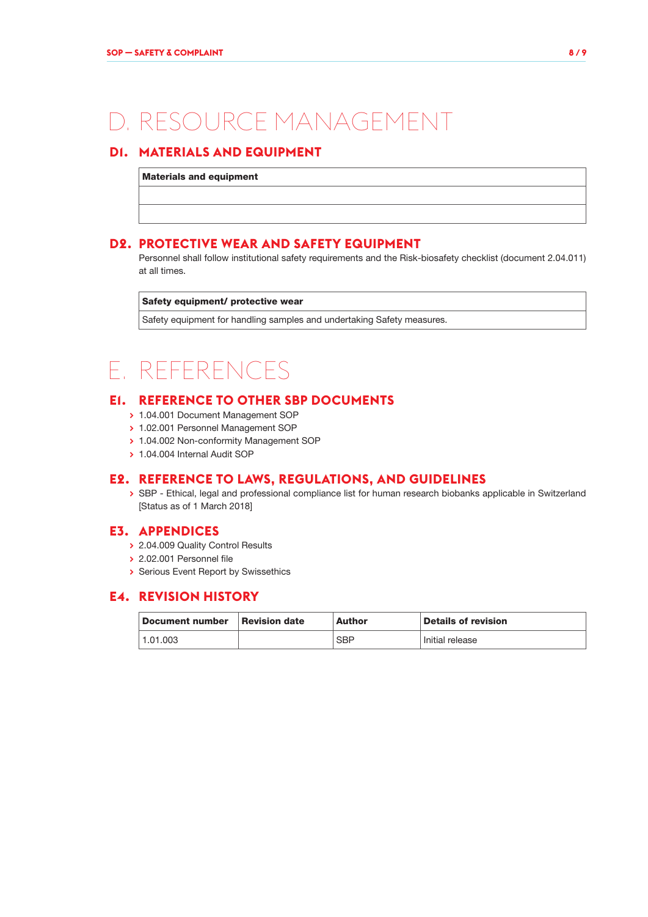## D. RESOURCE MANAGEMENT

## **D1. MATERIALS AND EQUIPMENT**

Materials and equipment

### **D2. PROTECTIVE WEAR AND SAFETY EQUIPMENT**

Personnel shall follow institutional safety requirements and the Risk-biosafety checklist (document 2.04.011) at all times.

#### Safety equipment/ protective wear

Safety equipment for handling samples and undertaking Safety measures.

## E. REFERENCES

## **E1. REFERENCE TO OTHER SBP DOCUMENTS**

- **>** 1.04.001 Document Management SOP
- **>** 1.02.001 Personnel Management SOP
- **>** 1.04.002 Non-conformity Management SOP
- **>** 1.04.004 Internal Audit SOP

### **E2. REFERENCE TO LAWS, REGULATIONS, AND GUIDELINES**

**>** SBP - Ethical, legal and professional compliance list for human research biobanks applicable in Switzerland [Status as of 1 March 2018]

### **E3. APPENDICES**

- **>** 2.04.009 Quality Control Results
- **>** 2.02.001 Personnel file
- **>** Serious Event Report by Swissethics

#### **E4. REVISION HISTORY**

| <b>Document number</b> | <b>Revision date</b> | Author     | <b>Details of revision</b> |  |
|------------------------|----------------------|------------|----------------------------|--|
| 1.01.003               |                      | <b>SBP</b> | Initial release            |  |